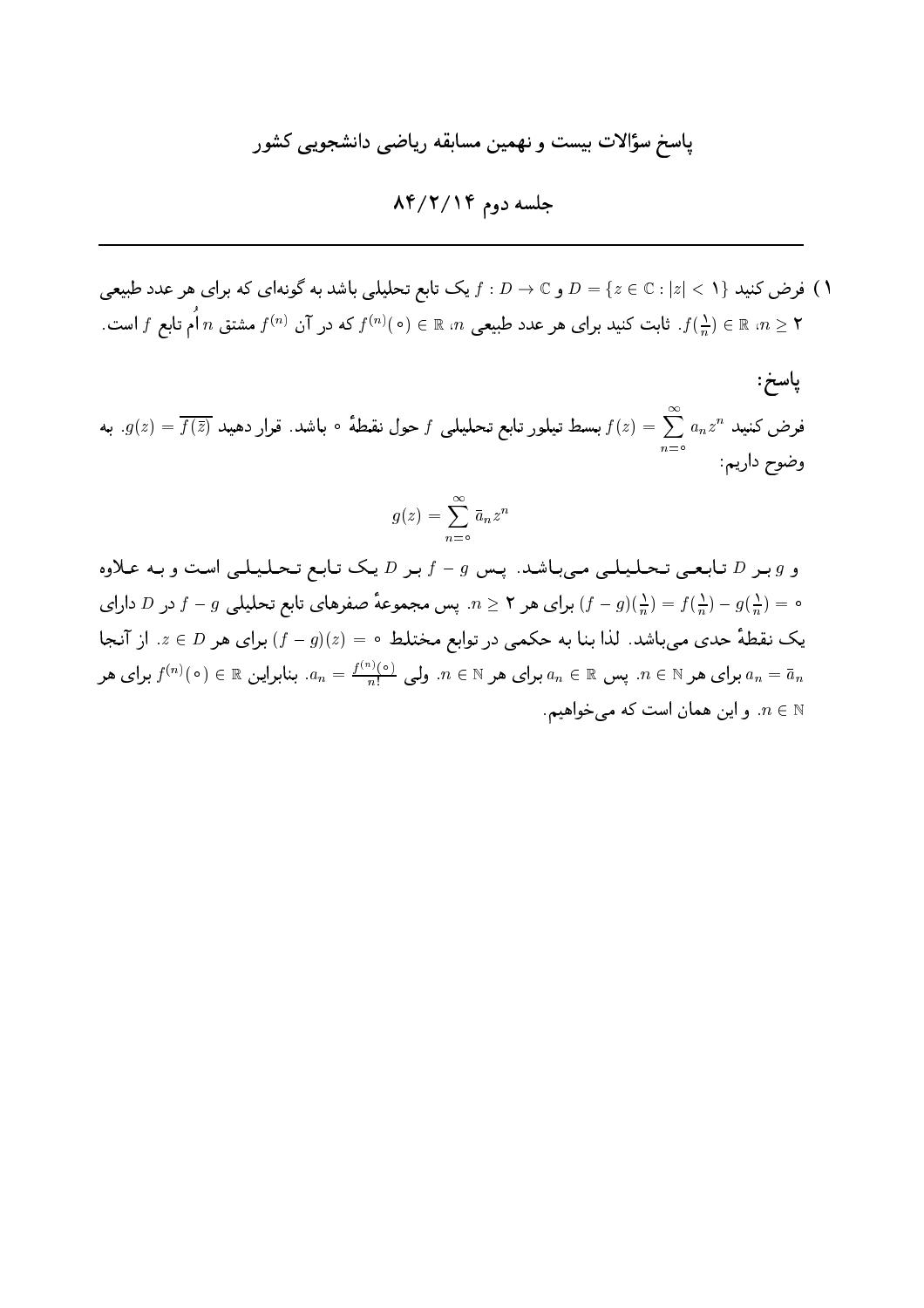جلسه دوم ۸۴/۲/۱۴

فرض کنید  $D=\{z\in\mathbb{C}:|z|<1\}$  و  $D\rightarrow\mathbb{C}$  و یک سابع تحلیلی باشد به گونهای که برای هر عدد طبیعی  $\Lambda$ . ۴  $f\left(\frac{1}{n}\right)\in\mathbb{R}$  . الله عدد جمعی ه $n\in\mathbb{R}$  (۰) و  $f^{(n)}(0)$  که در آن  $f^{(n)}$  مشتق  $n\left(\frac{1}{n}\right)\in\mathbb{R}$  .  $n\geq1$ 

پاسخ: فرض کنید  $a_nz^n$   $a_nz^n$  بسط تیلور تابع تحلیلی  $f$  حول نقطهٔ ∘ باشد. قرار دهید  $g(z)=\overline{f(\bar{z})}$ . به .<br>وضوح داريم:

$$
g(z) = \sum_{n=0}^{\infty} \bar{a}_n z^n
$$

و  $g$  بحر D تمابعی تحلیلی میباشد. پس  $g-f$  بر D یک تمابع تحلیلی است و به علاوه ه =  $f(\frac{1}{n})-f(\frac{1}{n})-f(-\frac{1}{n})$ برای هر ۲ $n \geq n$ . پس مجموعهٔ صفرهای تابع تحلیلی  $f-g(\frac{1}{n})-f(-\frac{1}{n})=0$  در  $D$  دارای یک نقطهٔ حدی میباشد. لذا بنا به حکمی در توابع مختلط ٥ = (z)(e) برای هر E ، از آنجا برای هر  $n\in\mathbb{N}$  پس  $a_n\in\mathbb{R}$  برای هر  $a_n\in\mathbb{N}$  برای هر  $a_n\in\mathbb{N}$  برای هر  $a_n\in\mathbb{N}$  برای هر  $a_n=\bar{a}_n$ . و این همان است که می خواهیم  $n\in\mathbb{N}$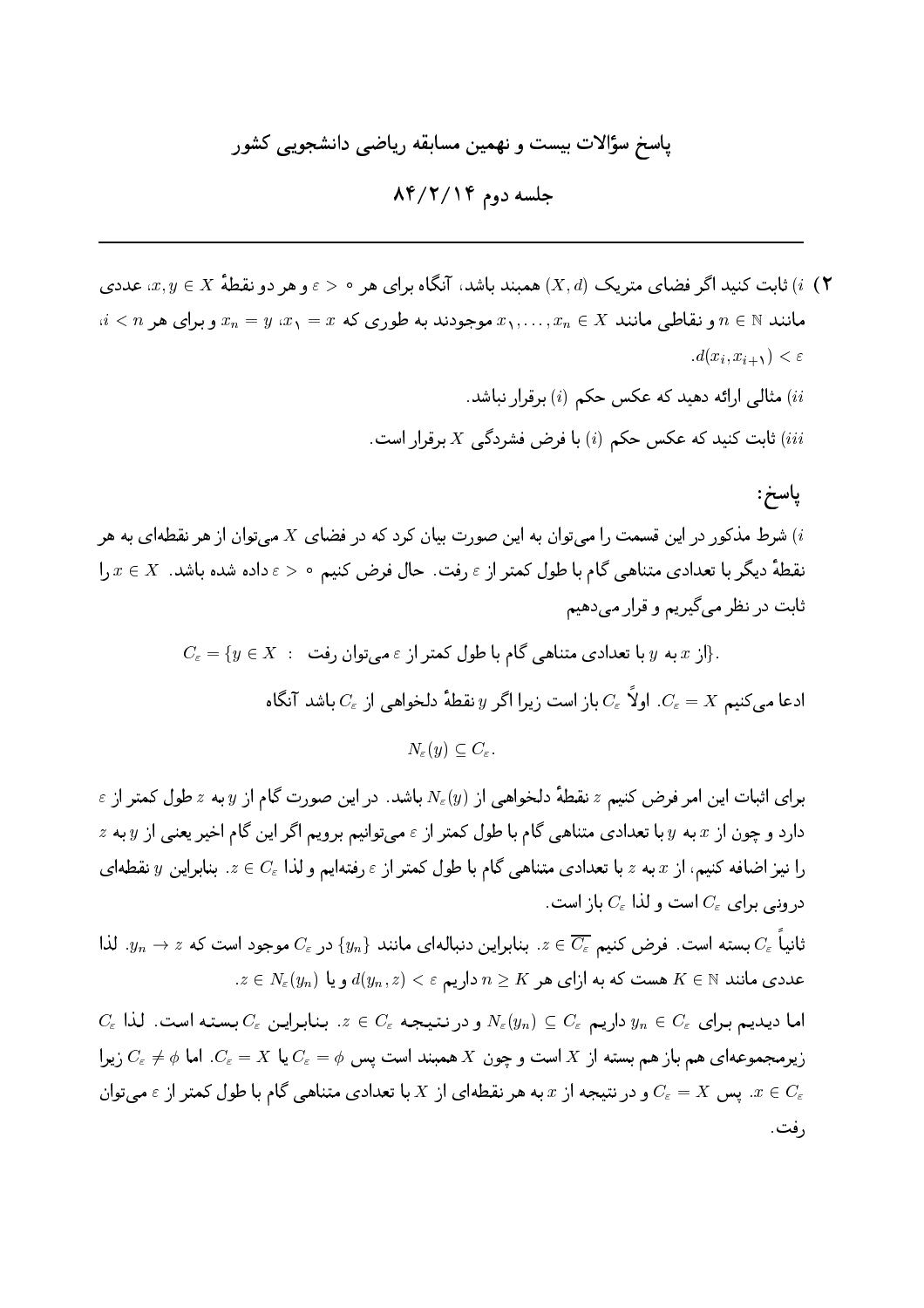$AP/Y/IP$  جلسه دوم ۸۴/۲/۱۴

ا) انابت کنید اگر فضای متریک  $(X,d)$  همیند باشد، آنگاه برای هر محروم دو نقطهٔ  $x,y\in X$ ، عددی (۲  $i < n$  مانند  $n \in \mathbb{N}$  و نقاطی مانند  $x_1, \ldots, x_n \in X$  موجودند به طوری که  $x_1 = x$   $x_2 = x_n$  و برای هر  $d(x_i, x_{i+1}) < \varepsilon$ ..<br>ii) مثالی ارائه دهید که عکس حکم (i) برقرار نباشد. ابت کنید که عکس حکم (i) با فرض فشردگی  $X$  برقرار است)  $Xi$ پاسخ:

شرط مذکور در این قسمت را می توان به این صورت بیان کرد که در فضای  $X$  می توان از هر نقطهای به هر  $i$  $x,y,z \in X$  نقطهٔ دیگر با تعدادی متناهی گام با طول کمتر از  $\varepsilon$  رفت. حال فرض کنیم م $\varepsilon > \varepsilon$  داده شده باشد.  $x \in X$ ثابت در نظر مي گيريم و قرار مي دهيم

$$
C_{\varepsilon} = \{ y \in X \; : \; \text{if } y \in X \}
$$
.  
ادعا میکنیم  $x$  باز ایت زیرا اگر  $y$  نقطهٔ دلخواهی از  $C_{\varepsilon}$  باشد آنگاه  
ادعا میکنیم  $C_{\varepsilon} = X$  اولاً ی $C_{\varepsilon}$  باز است زیرا اگر  $y$  نقطهٔ دلخواهی از  $C_{\varepsilon}$ )

 $\varepsilon$  برای اثبات این امر فرض کنیم  $z$  نقطهٔ دلخواهی از  $N_\varepsilon(y)$  باشد. در این صورت گام از  $y$  به  $z$  طول کمتر از  $z$  دارد و چون از  $x$  به  $y$  با تعدادی متناهی گام با طول کمتر از  $\varepsilon$  می توانیم برویم اگر این گام اخیر یعنی از  $y$  به  $z$ را نیز اضافه کنیم، از  $x$  به  $z$  با تعدادی متناهیی گام با طول کمتر از  $\varepsilon$  رفتهایم و لذا  $c_\varepsilon$  . بنابراین  $y$  نقطهای درونی برای  $C_\varepsilon$  است و لذا  $C_\varepsilon$  باز است.

انیاً  $C_\varepsilon$  بسته است. فرض کنیم ج $\overline{C_\varepsilon}$  بنابراین دنبالهای مانند  $\{y_n\}$  در  $C_\varepsilon$  موجود است که  $z \prec y_n \to y$ . لذا  $x\in N_\varepsilon(y_n)$  عددی مانند  $K\in K$  هست که به ازای هر  $n\geq K$  داریم $v(x_n,z)<\varepsilon$  و یا

 $C_\varepsilon$  اما دیدیم برای $y_n\in C_\varepsilon$  داریم  $C_\varepsilon$   $C_\varepsilon$  و در نتیبجه $C_\varepsilon\in C_\varepsilon$ . بنابراین  $C_\varepsilon$  بسته است. لذا زیرهجموعهای هم باز هم بسته از X است و چون X همبند است پس  $\phi = C_\varepsilon = X$  یا  $C_\varepsilon = X$ . اما  $\phi \neq C_\varepsilon$  زیرا ید پس  $C_\varepsilon = X$  و در نتیجه از  $x$  به هر نقطهای از  $X$  با تعدادی متناهی گام با طول کمتر از  $\varepsilon$  می توان  $x\in C_\varepsilon$ رفت.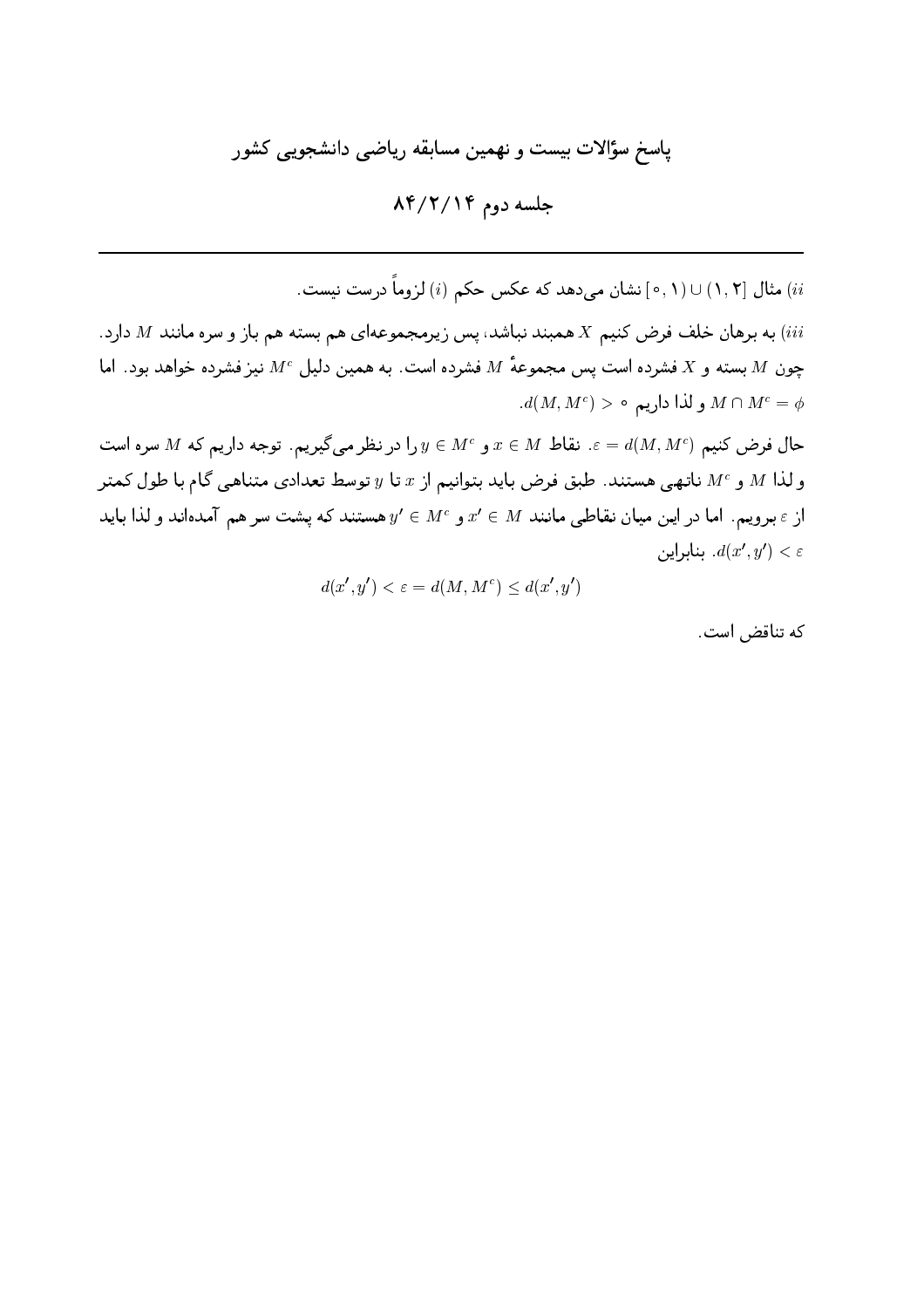جلسه دوم ۸۴/۲/۱۴

ii) مثال [1, ۲) ∪ (1, م] نشان می دهد که عکس حکم (i) لزوماً درست نیست. به برهان خلف فرض کنیم X همبند نباشد، پس زیرمجموعهای هم بسته هم باز و سره مانند M دارد.  $M$ چون M بسته و X فشرده است پس مجموعهٔ M فشرده است. به همین دلیل  $M^c$  نیز فشرده خواهد بود. اما  $d(M, M^c) > \circ d$ و لذا داریم ه $M \cap M^c = \phi$ حال فرض كنيم  $M^e$ سره است  $x \in M$  ع. نقاط  $x \in M$  و  $y \in U$  در نظر مي گيريم. توجه داريم كه  $M$  سره است و لذا  $M$  و  $M^\mathrm{c}$  ناتهبی هستند. طبق فرض باید بتوانیم از  $x$  تا  $y$  توسط تعدادی متناهبی گام با طول کمتر از  $\varepsilon$  برویم. اما در این میان نقاطبی مانند  $x' \in M$  و  $y' \in y' \in y'$  هستند که پشت سر هم آمدهاند و لذا باید بنابراين.  $d(x', y') < \varepsilon$ 

 $d(x', y') < \varepsilon = d(M, M^c) \leq d(x', y')$ 

كه تناقض است.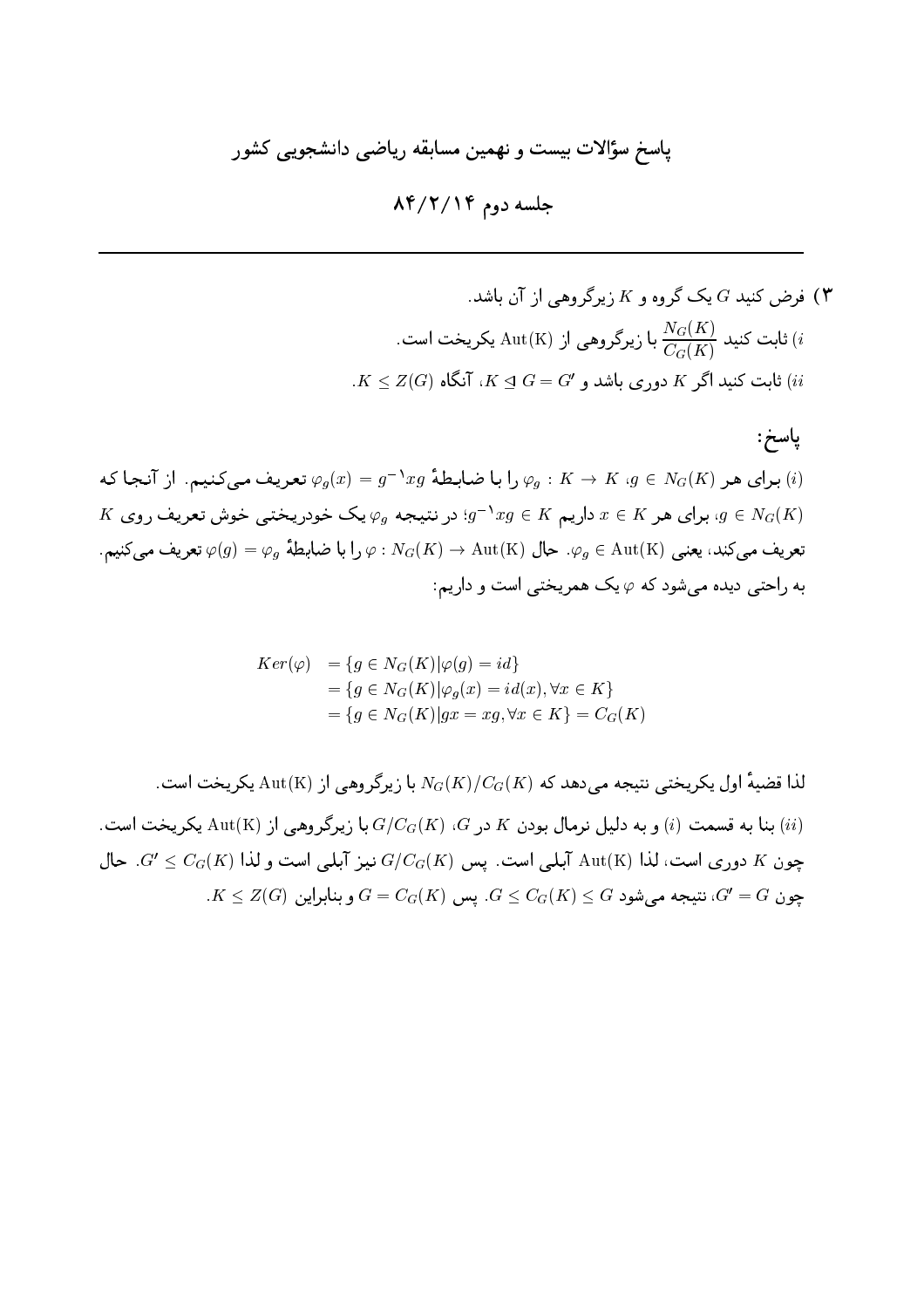جلسه دوم ۸۴/۲/۱۴

ه رض کنید 
$$
G
$$
 یک گروه و X زیرگروهی از آن باشد.  
\n
$$
(i
$$
 یلیت کنید 
$$
\frac{N_G(K)}{C_G(K)}
$$
نابت کنید اگ $K \leq Z(G)$ ، آنگاه (K) نابت کنید اگر دوری باشد و  $G = G'$ 

ياسخ: برای هر  $N_G(K) \to K$  ،  $\varphi_g: K \to \varphi_g \colon K \to K$  برای هر  $\varphi_g: K \to K$  ، برای هر (i)  $K$  برای هر  $x \in K$  داریم  $xg \in x$  در نتیجه  $\varphi_g$  یک خودریختبی خوش تعریف روی،  $g \in N_G(K)$ تعريف مي كند، يعني  $\varphi_g\in {\rm Aut(K)}$ . حال  $\varphi\colon N_G(K)\to N_G(K)\to \varphi_g\in {\rm Aut(K)}$  تعريف مي كنيم. به راحتے دیده مے شود که  $\varphi$  یک همریختے است و داریم:

$$
Ker(\varphi) = \{g \in N_G(K)|\varphi(g) = id\}
$$
  
=  $\{g \in N_G(K)|\varphi_g(x) = id(x), \forall x \in K\}$   
=  $\{g \in N_G(K)|gx = xg, \forall x \in K\} = C_G(K)$ 

لذا قضية اول يكريختي نتيجه مي دهد كه  $N_G(K)/C_G(K)$  با زيرگروهي از Aut(K) يكريخت است. . بنا به قسمت (i) و به دلیل نرمال بودن K در G، (K) ، G، با زیرگروهی از Aut(K) بنا به قسمت (i) به این مال بودن  $(ii)$  $G' \leq C_G(K)$  جون K دوری است، لذا Aut(K) آبلبی است. پس  $G/C_G(K)$  نیبز آبلبی است و لذا (K) چون K جال  $K \leq Z(G)$  چون $G = Z(G)$ ، نتیجه میشود  $G \leq G$ ر $G \leq G$ . پس  $G' = G$  و بنابراین  $G' = G$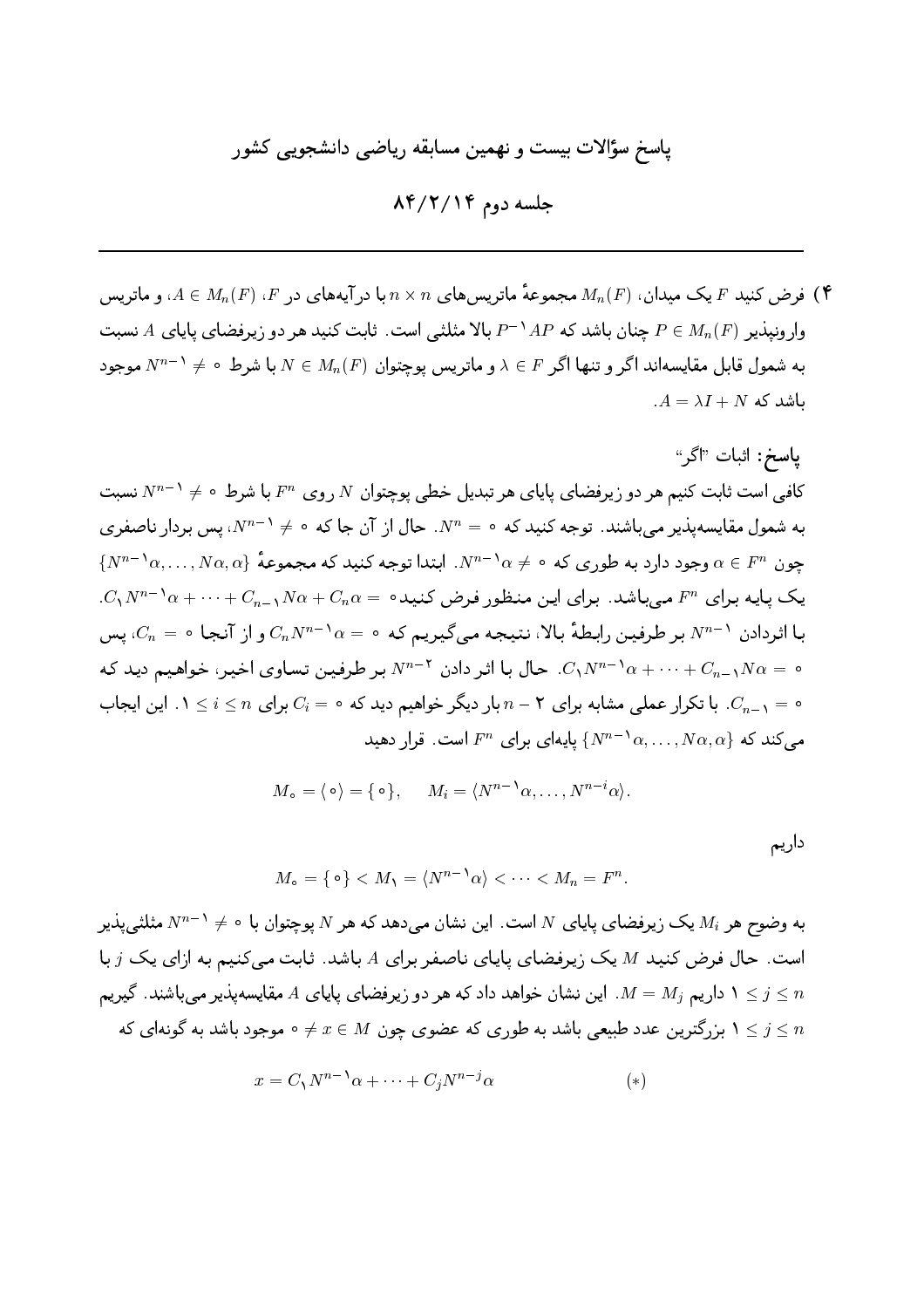جلسه دوم ۸۴/۲/۱۴

ا فرض کنید  $F$  یک میدان،  $M_n(F)$  مجموعهٔ ماتریس های  $n \times n$  با درآیههای در  $F$ ،  $M_n(F)$  و ماتریس (۴ وار ونبذیر (P = Mn(F) جنان باشد که  $AP^{-1}AP$  بالا مثلثی است. ثابت کنید هر دو زیرفضای پایای A نسبت به شمول قابل مقایسهاند اگر و تنها اگر  $F \in \lambda \in F$  و ماتریس یوچتوان  $N \in M_n(F)$  با شرط  $\neq N^{n-1}$  موجود  $A = \lambda I + N$  ماشد که

 $M_{\circ} = \langle \circ \rangle = \{ \circ \}, \qquad M_{i} = \langle N^{n-1} \alpha, \dots, N^{n-i} \alpha \rangle.$ 

داريم

 $M_{\circ} = \{ \circ \} < M_{\cdot} = \langle N^{n-1} \alpha \rangle < \cdots < M_{n} = F^{n}.$ 

به وضوح هر  $M_i$  یک زیرفضای پایای  $N$  است. این نشان می۵دهد که هر  $N$  پوچتوان با ه $\phi \neq N^{n-1}$  مثلثی پذیر است. حال فرض کنید M یک زیرفضای پایای ناصفر برای A باشد. ثابت میکنیم به ازای یک j با داریم  $M=M_j$ . این نشان خواهد داد که هر دو زیرفضای پایای A مقایسهپذیر میباشند. گیریم A داریم  $1\leq j\leq n$ ا بزرگترین عدد طبیعی باشد به طوری که عضوی چون  $x \in M$  ؟  $x \in \#$  ه موجود باشد به گونهای که  $1 \leq j \leq n$ 

$$
x = C_1 N^{n-1} \alpha + \dots + C_j N^{n-j} \alpha \tag{*}
$$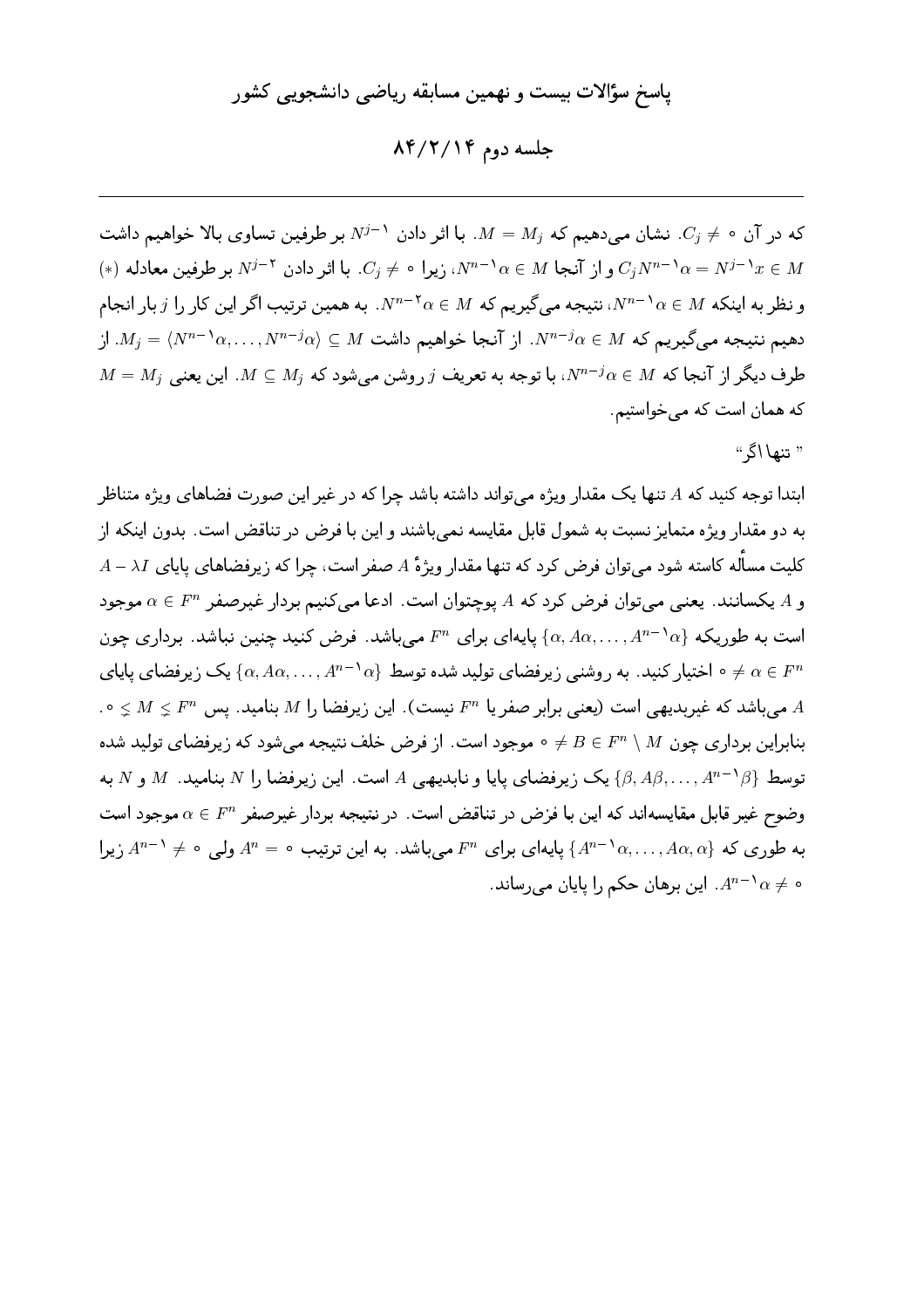جلسه دوم ۸۴/۲/۱۴

که در آن  $\phi \neq 0$ . نشان می دهیم که  $M=M_j$ . با اثر دادن  $N^{j-1}$  بر طرفین تساوی بالا خواهیم داشت  $(*)$  و از آنجا  $\alpha \in M^{-1}$ ، زیرا  $\beta \neq C_j$  با اثر دادن  $N^{j-1}$  بر طرفین معادله  $C_jN^{n-1}$  و از آنجا  $C_jN^{n-1}$ و نظر به اینکه  $\alpha\in M^{-1}$ ، نتیجه میگیریم که  $\alpha\in M^{-1}$ . به همین ترتیب اگر این کار را  $j$  بار انجام  $M_j = \langle N^{n-1} \alpha, \ldots, N^{n-j} \alpha \rangle \subseteq M$  دهیم نتیجه می $\lambda$ یریم که  $M \in \mathbb{N}^{n-j}$ . از  $M=M_j$  طرف دیگر از آنجا که  $M\in N^{n-j}$ ، با توجه به تعریف  $j$  روشن می شود که  $M_j\subseteq M$ . این یعنی که همان است که می خواستیم.

" تنها اگر"

ابتدا توجه کنید که A تنها یک مقدار ویژه میتواند داشته باشد چرا که در غیر این صورت فضاهای ویژه متناظر به دو مقدار ویژه متمایز نسبت به شمول قابل مقایسه نمی باشند و این با فرض در تناقض است. بدون اینکه از  $A-\lambda I$  کلیت مسأله کاسته شود میتوان فرض کرد که تنها مقدار ویژهٔ  $A$  صفر است، چرا که زیرفضاهای پایای  $\lambda I$ و A یکسانند. یعنی می توان فرض کرد که A یوچتوان است. ادعا می کنیم بردار غیرصفر  $\alpha \in F^n$  موجود است به طوریکه  $\{\alpha, A\alpha, \ldots, A^{n-1}\alpha\}$  پایهای برای  $F^n$  میباشد. فرض کنید چنین نباشد. برداری چون ه اختیار کنید. به روشنبی زیرفضای تولید شده توسط  $\{\alpha, A\alpha, \ldots, A^{n-1}\alpha\}$  یک زیرفضای پایای  $\neq \alpha \in F^n$ . میباشد که غیربدیهی است (یعنی برابر صفر یا  $F^n$  نیست). این زیرفضا را  $M$  بنامید. پس  $M\lneq N\leq N$  ۰ . بنابراین برداری چون M \ A و = 6 = 6 موجود است. از فرض خلف نتیجه می شود که زیرفضای تولید شده توسط  $\{ \beta, A\beta, \ldots, A^{n-1}\beta \}$  یک زیرفضای پایا و نابدیهی  $A$  است. این زیرفضا را  $N$  بنامید.  $M$  و  $N$  به وضوح غير قابل مقايسهاند كه اين با فزض در تناقض است. در نتيجه بردار غيرصفر  $\alpha \in F^n$  موجود است به طوری که  $\{A^{n-1}\alpha, \ldots, A\alpha, \alpha\}$  یایهای برای  $F^n$  می باشد. به این ترتیب  $A^n = A^{n-1}$  ولی  $A^{n-1}$  زیرا  $A^{n-1}\alpha \neq 0$ ه ج $A^{n-1}\alpha$ . این برهان حکم را یایان می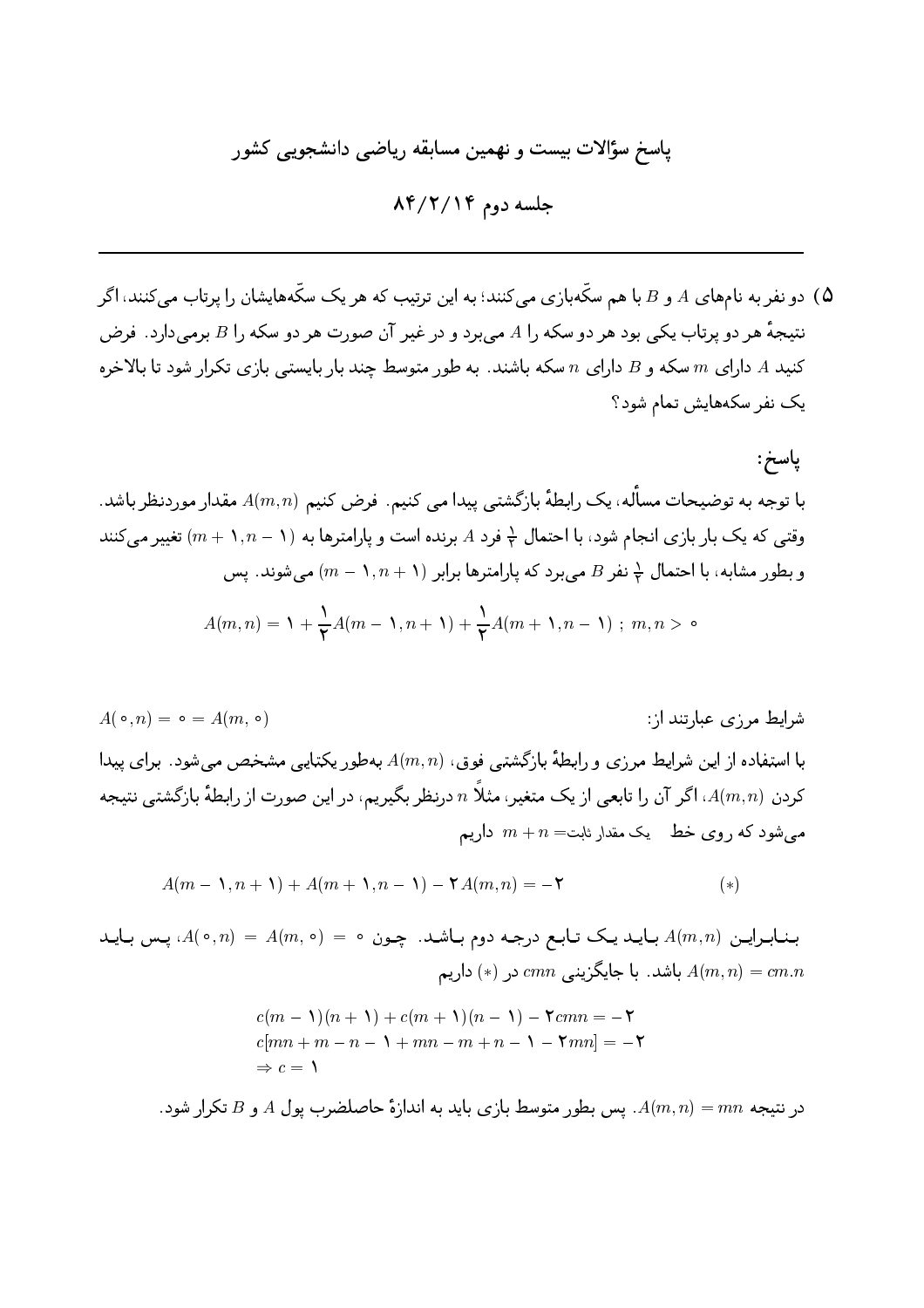جلسه دوم ۸۴/۲/۱۴

و نفر به نامهای A و B با هم سکّهبازی میکنند؛ به این ترتیب که هر یک سکّههایشان را پرتاب میکنند، اگر ( نتیجهٔ هر دو پرتاب یکی بود هر دو سکه را A می برد و در غیر آن صورت هر دو سکه را B برمی دارد. فرض کنید A دارای  $m$  سکه و B دارای  $n$  سکه باشند. به طور متوسط چند بار بایستی بازی تکرار شود تا بالاخره یک نفر سکههایش تمام شود؟

ياسخ: با توجه به توضیحات مسأله، یک رابطهٔ بازگشتبی پیدا می کنیم. فرض کنیم (A(m, n مقدار موردنظر باشد. وقتی که یک بار بازی انجام شود، با احتمال لٖ فرد A برنده است و پارامترها به (۱ – ۱, n + ۱, تغییر میکنند و بطور مشابه، با احتمال  $\frac{1}{7}$  نفر  $B$  می برد که پارامترها برابر (۱, n + ۱) می شوند. پس  $A(m,n) = \mathcal{N} + \frac{1}{2}A(m-\mathcal{N},n+\mathcal{N}) + \frac{1}{2}A(m+\mathcal{N},n-\mathcal{N})$ ;  $m,n > \infty$ 

$$
A(m-1,n+1) + A(m+1,n-1) - \mathbf{Y}A(m,n) = -\mathbf{Y}
$$
\n(\*)

بنابراین (A(o,n) = A(m, o) = 5 بنابراین (4(m, o) = 5 بنابراین (4(o,n) باید باشد. با جایگزینی  $cmn$  در (\*) داریم  $A(m,n) = cm.n$ 

$$
c(m - 1)(n + 1) + c(m + 1)(n - 1) - 7cmn = -7
$$
  

$$
c[mn + m - n - 1 + mn - m + n - 1 - 7mn] = -7
$$
  

$$
\Rightarrow c = 1
$$

در نتیجه  $mn = m$  . یس بطور متوسط بازی باید به اندازهٔ حاصلضرب پول A و B تکرار شود.